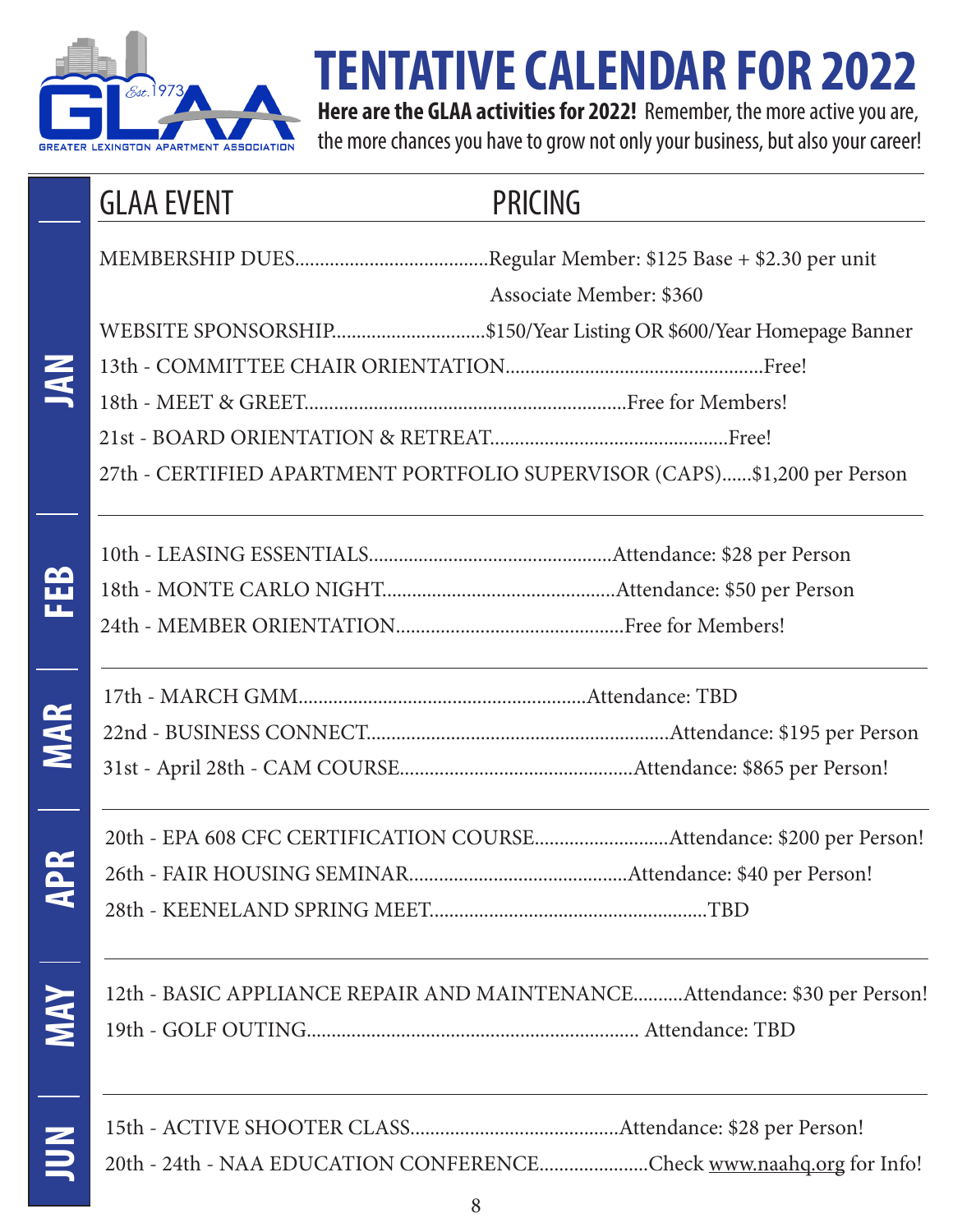

**JAN**

**FEB**

**MAR**

**APR**

# **TENTATIVE CALENDAR FOR 2022**

**Here are the GLAA activities for 2022!** Remember, the more active you are, the more chances you have to grow not only your business, but also your career!

### GLAA EVENT PRICING

MEMBERSHIP DUES.......................................Regular Member: \$125 Base + \$2.30 per unit

Associate Member: \$360

WEBSITE SPONSORSHIP...............................\$150/Year Listing OR \$600/Year Homepage Banner

13th - COMMITTEE CHAIR ORIENTATION....................................................Free!

18th - MEET & GREET.................................................................Free for Members!

21st - BOARD ORIENTATION & RETREAT................................................Free!

27th - CERTIFIED APARTMENT PORTFOLIO SUPERVISOR (CAPS)......\$1,200 per Person

17th - MARCH GMM..........................................................Attendance: TBD 22nd - BUSINESS CONNECT.............................................................Attendance: \$195 per Person

31st - April 28th - CAM COURSE...............................................Attendance: \$865 per Person!

20th - EPA 608 CFC CERTIFICATION COURSE...........................Attendance: \$200 per Person! 26th - FAIR HOUSING SEMINAR............................................Attendance: \$40 per Person! 28th - KEENELAND SPRING MEET........................................................TBD

**MAY**12th - BASIC APPLIANCE REPAIR AND MAINTENANCE..........Attendance: \$30 per Person! 19th - GOLF OUTING................................................................... Attendance: TBD

**JUN**15th - ACTIVE SHOOTER CLASS..........................................Attendance: \$28 per Person! 20th - 24th - NAA EDUCATION CONFERENCE......................Check www.naahq.org for Info!